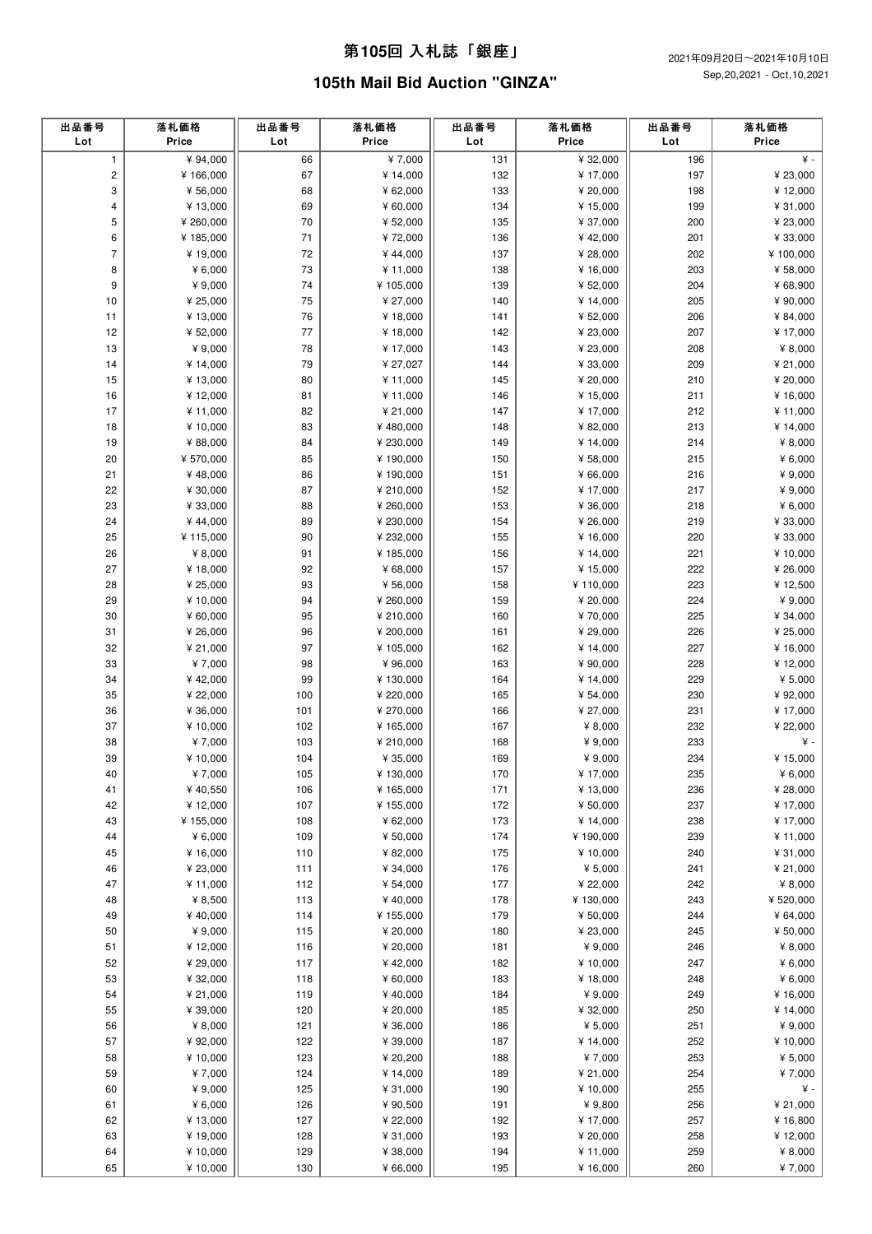#### 第**105**回 ⼊札誌「銀座」

# **105th Mail Bid Auction "GINZA"**

| 出品番号<br>Lot    | 落札価格<br>Price         | 出品番号<br>Lot | 落札価格<br>Price          | 出品番号<br>Lot | 落札価格<br>Price         | 出品番号<br>Lot | 落札価格<br>Price         |
|----------------|-----------------------|-------------|------------------------|-------------|-----------------------|-------------|-----------------------|
| $\mathbf{1}$   | ¥ 94,000              | 66          | ¥7,000                 | 131         | ¥ 32,000              | 196         | ¥ -                   |
| $\mathbf 2$    | ¥166,000              | 67          | ¥ 14,000               | 132         | ¥ 17,000              | 197         | ¥ 23,000              |
| 3              | ¥ 56,000              | 68          | ¥ 62,000               | 133         | ¥ 20,000              | 198         | ¥ 12,000              |
| 4              | ¥13,000               | 69          | ¥ 60,000               | 134         | ¥ 15,000              | 199         | ¥ 31,000              |
| 5              | ¥ 260,000             | $70\,$      | ¥ 52,000               | 135         | ¥ 37,000              | 200         | ¥ 23,000              |
| 6              | ¥185,000              | 71          | ¥72,000                | 136         | ¥42,000               | 201         | ¥ 33,000              |
| $\overline{7}$ | ¥19,000               | 72          | ¥44,000                | 137         | ¥ 28,000              | 202         | ¥ 100,000             |
| 8<br>9         | ¥ $6,000$<br>¥ 9,000  | 73<br>74    | ¥ 11,000<br>¥ 105,000  | 138<br>139  | ¥ 16,000<br>¥ 52,000  | 203<br>204  | ¥ 58,000<br>¥ 68,900  |
| 10             | ¥ 25,000              | 75          | ¥ 27,000               | 140         | ¥ 14,000              | 205         | ¥ 90,000              |
| 11             | ¥13,000               | 76          | ¥18,000                | 141         | ¥ 52,000              | 206         | ¥ 84,000              |
| 12             | ¥ 52,000              | 77          | ¥18,000                | 142         | ¥ 23,000              | 207         | ¥ 17,000              |
| 13             | ¥ 9,000               | 78          | ¥ 17,000               | 143         | ¥ 23,000              | 208         | ¥ $8,000$             |
| 14             | ¥ 14,000              | 79          | ¥ 27,027               | 144         | ¥ 33,000              | 209         | ¥ 21,000              |
| 15             | ¥13,000               | 80          | ¥ 11,000               | 145         | ¥ 20,000              | 210         | ¥ 20,000              |
| 16             | ¥12,000               | 81          | ¥ 11,000               | 146         | ¥ 15,000              | 211         | ¥ 16,000              |
| 17             | ¥11,000               | 82          | ¥ 21,000               | 147         | ¥ 17,000              | 212         | ¥ 11,000              |
| 18             | ¥10,000               | 83          | ¥480,000               | 148         | ¥ 82,000              | 213         | ¥ 14,000              |
| 19             | ¥ 88,000              | 84          | ¥ 230,000              | 149         | ¥ 14,000              | 214         | ¥ $8,000$             |
| 20             | ¥ 570,000             | 85          | ¥ 190,000              | 150         | ¥ 58,000              | 215         | ¥ $6,000$             |
| 21             | ¥48,000               | 86          | ¥ 190,000              | 151         | ¥ 66,000              | 216         | ¥ 9,000               |
| 22             | ¥ 30,000              | 87          | ¥ 210,000              | 152         | ¥ 17,000              | 217         | ¥ 9,000               |
| 23             | ¥ 33,000              | 88          | ¥ 260,000              | 153         | ¥ 36,000              | 218         | ¥ $6,000$             |
| 24             | ¥44,000               | 89          | ¥ 230,000              | 154         | ¥ 26,000              | 219         | ¥ 33,000              |
| 25<br>26       | ¥115,000<br>¥ $8,000$ | 90<br>91    | ¥ 232,000<br>¥ 185,000 | 155<br>156  | ¥ 16,000<br>¥ 14,000  | 220<br>221  | ¥ 33,000<br>¥ 10,000  |
| 27             | ¥18,000               | 92          | ¥ 68,000               | 157         | ¥ 15,000              | 222         | ¥ 26,000              |
| 28             | ¥ 25,000              | 93          | ¥ 56,000               | 158         | ¥110,000              | 223         | ¥ 12,500              |
| 29             | ¥ 10,000              | 94          | ¥ 260,000              | 159         | ¥ 20,000              | 224         | ¥ 9,000               |
| 30             | ¥ 60,000              | 95          | ¥ 210,000              | 160         | ¥70,000               | 225         | ¥ 34,000              |
| 31             | ¥ 26,000              | 96          | ¥ 200,000              | 161         | ¥ 29,000              | 226         | ¥ 25,000              |
| 32             | ¥ 21,000              | 97          | ¥ 105,000              | 162         | ¥ 14,000              | 227         | ¥ 16,000              |
| 33             | ¥7,000                | 98          | ¥ 96,000               | 163         | ¥ 90,000              | 228         | ¥12,000               |
| 34             | ¥42,000               | 99          | ¥ 130,000              | 164         | ¥ 14,000              | 229         | ¥ $5,000$             |
| 35             | ¥ 22,000              | 100         | ¥ 220,000              | 165         | ¥ 54,000              | 230         | ¥ 92,000              |
| 36             | ¥ 36,000              | 101         | ¥ 270,000              | 166         | ¥ 27,000              | 231         | ¥ 17,000              |
| 37             | ¥ 10,000              | 102         | ¥ 165,000              | 167         | ¥ $8,000$             | 232         | ¥ 22,000              |
| 38             | ¥7,000                | 103         | ¥ 210,000              | 168         | ¥ 9,000               | 233         | ¥ -                   |
| 39             | ¥ 10,000              | 104<br>105  | ¥ 35,000               | 169         | ¥ 9,000               | 234<br>235  | ¥ 15,000              |
| 40<br>41       | ¥7,000<br>¥40,550     | 106         | ¥ 130,000<br>¥ 165,000 | 170<br>171  | ¥ 17,000<br>¥ 13,000  | 236         | ¥ $6,000$<br>¥ 28,000 |
| 42             | ¥12,000               | 107         | ¥ 155,000              | 172         | ¥ 50,000              | 237         | ¥17,000               |
| 43             | ¥155,000              | 108         | ¥ 62,000               | 173         | ¥ 14,000              | 238         | ¥ 17,000              |
| 44             | ¥ $6,000$             | 109         | ¥ 50,000               | 174         | ¥190,000              | 239         | ¥11,000               |
| 45             | ¥ 16,000              | 110         | ¥ 82,000               | 175         | ¥ 10,000              | 240         | ¥ 31,000              |
| 46             | ¥ 23,000              | 111         | ¥ 34,000               | 176         | ¥ $5,000$             | 241         | ¥ 21,000              |
| 47             | ¥11,000               | 112         | ¥ 54,000               | 177         | ¥ 22,000              | 242         | ¥ $8,000$             |
| 48             | ¥ 8,500               | 113         | ¥40,000                | 178         | ¥130,000              | 243         | ¥ 520,000             |
| 49             | ¥40,000               | 114         | ¥ 155,000              | 179         | ¥ 50,000              | 244         | ¥ 64,000              |
| 50             | ¥ 9,000               | 115         | ¥ 20,000               | 180         | ¥ 23,000              | 245         | ¥ 50,000              |
| 51             | ¥12,000               | 116         | ¥ 20,000               | 181         | ¥ 9,000               | 246         | ¥ $8,000$             |
| 52             | ¥ 29,000              | 117         | ¥42,000                | 182         | ¥ 10,000              | 247         | 46,000                |
| 53             | ¥ 32,000              | 118         | ¥ 60,000               | 183         | ¥ 18,000              | 248         | 46,000                |
| 54             | ¥ 21,000              | 119         | ¥40,000                | 184         | ¥ 9,000               | 249         | ¥ 16,000              |
| 55             | ¥ 39,000<br>¥ $8,000$ | 120         | ¥ 20,000               | 185         | ¥ 32,000<br>¥ $5,000$ | 250<br>251  | ¥ 14,000<br>¥ 9,000   |
| 56<br>57       | ¥ 92,000              | 121<br>122  | ¥ 36,000<br>¥ 39,000   | 186<br>187  | ¥ 14,000              | 252         | ¥ 10,000              |
| 58             | ¥ 10,000              | 123         | ¥ 20,200               | 188         | ¥7,000                | 253         | ¥ $5,000$             |
| 59             | ¥7,000                | 124         | ¥ 14,000               | 189         | ¥ 21,000              | 254         | ¥7,000                |
| 60             | ¥ 9,000               | 125         | ¥ 31,000               | 190         | ¥ 10,000              | 255         | ¥ -                   |
| 61             | ¥ $6,000$             | 126         | ¥ 90,500               | 191         | ¥ 9,800               | 256         | ¥ 21,000              |
| 62             | ¥ 13,000              | 127         | ¥ 22,000               | 192         | ¥ 17,000              | 257         | ¥ 16,800              |
| 63             | ¥19,000               | 128         | ¥ 31,000               | 193         | ¥ 20,000              | 258         | ¥12,000               |
| 64             | ¥ 10,000              | 129         | ¥ 38,000               | 194         | ¥ 11,000              | 259         | ¥ 8,000               |
| 65             | ¥ 10,000              | 130         | ¥ 66,000               | 195         | ¥ 16,000              | 260         | ¥7,000                |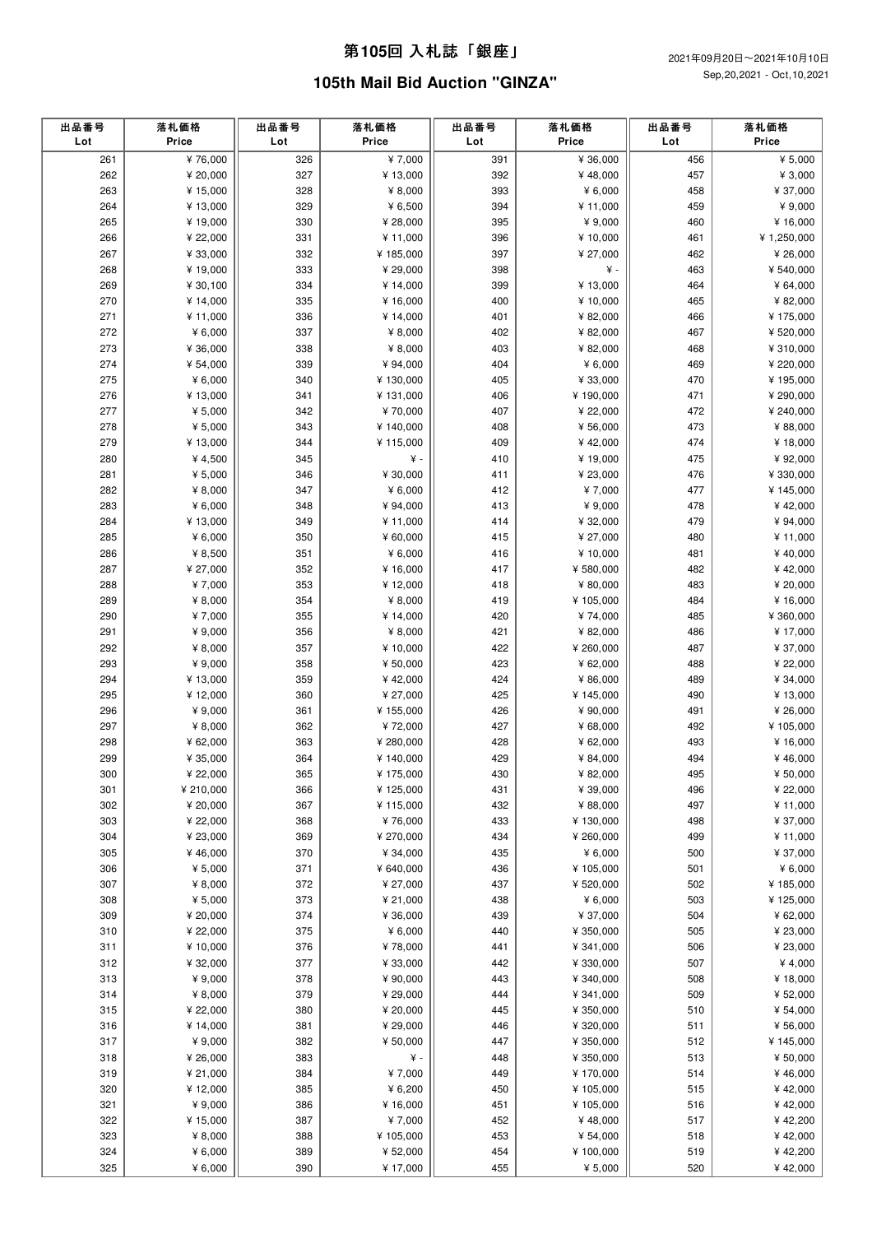# 第**105**回 ⼊札誌「銀座」

# **105th Mail Bid Auction "GINZA"**

| 出品番号<br>Lot | 落札価格<br>Price        | 出品番号<br>Lot | 落札価格<br>Price          | 出品番号<br>Lot | 落札価格<br>Price        | 出品番号<br>Lot | 落札価格<br>Price       |
|-------------|----------------------|-------------|------------------------|-------------|----------------------|-------------|---------------------|
| 261         | ¥76,000              | 326         | ¥7,000                 | 391         | ¥ 36,000             | 456         | ¥ $5,000$           |
| 262         | ¥ 20,000             | 327         | ¥ 13,000               | 392         | ¥48,000              | 457         | ¥ $3,000$           |
| 263         | ¥15,000              | 328         | ¥ $8,000$              | 393         | 46,000               | 458         | ¥ 37,000            |
| 264         | ¥ 13,000             | 329         | ¥ $6,500$              | 394         | ¥ 11,000             | 459         | ¥ 9,000             |
| 265         | ¥19,000              | 330         | ¥ 28,000               | 395         | ¥ $9,000$            | 460         | ¥ 16,000            |
| 266         | ¥ 22,000             | 331         | ¥ 11,000               | 396         | ¥ 10,000             | 461         | ¥ 1,250,000         |
| 267         | ¥ 33,000             | 332         | ¥185,000               | 397         | ¥ 27,000             | 462         | ¥ 26,000            |
| 268         | ¥19,000              | 333         | ¥ 29,000               | 398         | ¥ -                  | 463         | ¥ 540,000           |
| 269         | ¥ 30,100             | 334         | ¥ 14,000               | 399         | ¥ 13,000             | 464         | ¥ 64,000            |
| 270         | ¥ 14,000             | 335         | ¥ 16,000               | 400         | ¥ 10,000             | 465         | ¥ 82,000            |
| 271         | ¥ 11,000             | 336         | ¥14,000                | 401         | ¥ 82,000             | 466         | ¥ 175,000           |
| 272         | ¥ $6,000$            | 337         | ¥ $8,000$              | 402         | ¥ 82,000             | 467         | ¥ 520,000           |
| 273         | ¥ 36,000             | 338         | ¥ $8,000$              | 403         | ¥ 82,000             | 468         | ¥ 310,000           |
| 274         | ¥ 54,000             | 339         | ¥ 94,000               | 404         | ¥ $6,000$            | 469         | ¥ 220,000           |
| 275         | ¥ $6,000$            | 340         | ¥ 130,000              | 405         | ¥ 33,000             | 470         | ¥195,000            |
| 276         | ¥ 13,000             | 341         | ¥ 131,000              | 406         | ¥190,000             | 471         | ¥ 290,000           |
| 277         | ¥ $5,000$            | 342         | ¥70,000                | 407         | ¥ 22,000             | 472         | ¥ 240,000           |
| 278         | ¥ $5,000$            | 343         | ¥ 140,000              | 408         | ¥ 56,000             | 473         | ¥ 88,000            |
| 279         | ¥ 13,000             | 344         | ¥ 115,000              | 409         | ¥42,000              | 474         | ¥18,000             |
| 280         | ¥ 4,500              | 345         | ¥ -                    | 410         | ¥19,000              | 475         | ¥ 92,000            |
| 281         | ¥ $5,000$            | 346         | ¥ 30,000               | 411         | ¥ 23,000             | 476         | ¥ 330,000           |
| 282         | ¥ $8,000$            | 347         | ¥ $6,000$              | 412         | ¥7,000               | 477         | ¥ 145,000           |
| 283         | ¥ $6,000$            | 348         | ¥ 94,000               | 413         | ¥ $9,000$            | 478         | ¥42,000             |
| 284         | ¥ 13,000             | 349         | ¥ 11,000               | 414         | ¥ 32,000             | 479         | ¥ 94,000            |
| 285         | ¥ $6,000$            | 350         | ¥ 60,000               | 415         | ¥ 27,000             | 480         | ¥ 11,000            |
| 286         | ¥ 8,500              | 351         | ¥ $6,000$              | 416         | ¥10,000              | 481         | ¥40,000             |
| 287         | ¥ 27,000             | 352         | ¥ 16,000               | 417         | ¥ 580,000            | 482         | ¥42,000             |
| 288         | ¥7,000               | 353         | ¥12,000                | 418         | ¥ 80,000             | 483         | ¥ 20,000            |
| 289         | ¥ $8,000$            | 354         | ¥ $8,000$              | 419         | ¥ 105,000            | 484         | ¥ 16,000            |
| 290         | ¥7,000               | 355         | ¥ 14,000               | 420         | ¥74,000              | 485         | ¥ 360,000           |
| 291         | ¥ $9,000$            | 356         | ¥ $8,000$              | 421         | ¥ 82,000             | 486         | ¥17,000             |
| 292         | ¥ $8,000$            | 357         | ¥ 10,000               | 422         | ¥ 260,000            | 487         | ¥ 37,000            |
| 293         | ¥ 9,000              | 358         | ¥ 50,000               | 423         | ¥ 62,000             | 488         | ¥ 22,000            |
| 294         | ¥ 13,000             | 359         | ¥42,000                | 424         | ¥ 86,000             | 489         | ¥ 34,000            |
| 295         | ¥12,000              | 360         | ¥ 27,000               | 425         | ¥145,000             | 490         | ¥ 13,000            |
| 296         | ¥ 9,000              | 361         | ¥ 155,000              | 426         | ¥ 90,000             | 491         | ¥ 26,000            |
| 297         | ¥ $8,000$            | 362         | ¥72,000                | 427         | ¥ 68,000             | 492         | ¥ 105,000           |
| 298         | ¥ 62,000             | 363         | ¥ 280,000              | 428         | ¥ 62,000             | 493         | ¥ 16,000            |
| 299<br>300  | ¥ 35,000<br>¥ 22,000 | 364<br>365  | ¥ 140,000<br>¥ 175,000 | 429<br>430  | ¥ 84,000<br>¥ 82,000 | 494<br>495  | ¥46,000<br>¥ 50,000 |
| 301         | ¥ 210,000            | 366         | ¥ 125,000              | 431         | ¥ 39,000             | 496         | ¥ 22,000            |
| 302         | ¥ 20,000             | 367         | ¥ 115,000              | 432         | ¥ 88,000             | 497         | ¥11,000             |
| 303         | ¥ 22,000             | 368         | ¥76,000                | 433         | ¥130,000             | 498         | ¥ 37,000            |
| 304         | ¥ 23,000             | 369         | ¥ 270,000              | 434         | ¥ 260,000            | 499         | ¥ 11,000            |
| 305         | ¥46,000              | 370         | ¥ 34,000               | 435         | ¥ $6,000$            | 500         | ¥ 37,000            |
| 306         | ¥ $5,000$            | 371         | ¥ 640,000              | 436         | ¥105,000             | 501         | ¥ 6,000             |
| 307         | ¥ $8,000$            | 372         | ¥ 27,000               | 437         | ¥ 520,000            | 502         | ¥185,000            |
| 308         | ¥ $5,000$            | 373         | ¥ 21,000               | 438         | ¥ $6,000$            | 503         | ¥125,000            |
| 309         | ¥ 20,000             | 374         | ¥ 36,000               | 439         | ¥ 37,000             | 504         | ¥ 62,000            |
| 310         | ¥ 22,000             | 375         | ¥ 6,000                | 440         | ¥ 350,000            | 505         | ¥ 23,000            |
| 311         | ¥ 10,000             | 376         | ¥78,000                | 441         | ¥ 341,000            | 506         | ¥ 23,000            |
| 312         | ¥ 32,000             | 377         | ¥ 33,000               | 442         | ¥ 330,000            | 507         | ¥ 4,000             |
| 313         | ¥ 9,000              | 378         | ¥ 90,000               | 443         | ¥ 340,000            | 508         | ¥ 18,000            |
| 314         | ¥ $8,000$            | 379         | ¥ 29,000               | 444         | ¥ 341,000            | 509         | ¥ 52,000            |
| 315         | ¥ 22,000             | 380         | ¥ 20,000               | 445         | ¥ 350,000            | 510         | ¥ 54,000            |
| 316         | ¥ 14,000             | 381         | ¥ 29,000               | 446         | ¥ 320,000            | 511         | ¥ 56,000            |
| 317         | ¥ 9,000              | 382         | ¥ 50,000               | 447         | ¥ 350,000            | 512         | ¥ 145,000           |
| 318         | ¥ 26,000             | 383         | ¥ -                    | 448         | ¥ 350,000            | 513         | ¥ 50,000            |
| 319         | ¥ 21,000             | 384         | ¥7,000                 | 449         | ¥170,000             | 514         | ¥46,000             |
| 320         | ¥12,000              | 385         | ¥ 6,200                | 450         | ¥105,000             | 515         | ¥42,000             |
| 321         | ¥ 9,000              | 386         | ¥ 16,000               | 451         | ¥105,000             | 516         | ¥42,000             |
| 322         | ¥ 15,000             | 387         | ¥7,000                 | 452         | ¥48,000              | 517         | ¥42,200             |
| 323         | ¥ 8,000              | 388         | ¥ 105,000              | 453         | ¥ 54,000             | 518         | ¥42,000             |
| 324         | ¥ $6,000$            | 389         | ¥ 52,000               | 454         | ¥100,000             | 519         | ¥42,200             |
| 325         | ¥ 6,000              | 390         | ¥ 17,000               | 455         | ¥ 5,000              | 520         | ¥42,000             |